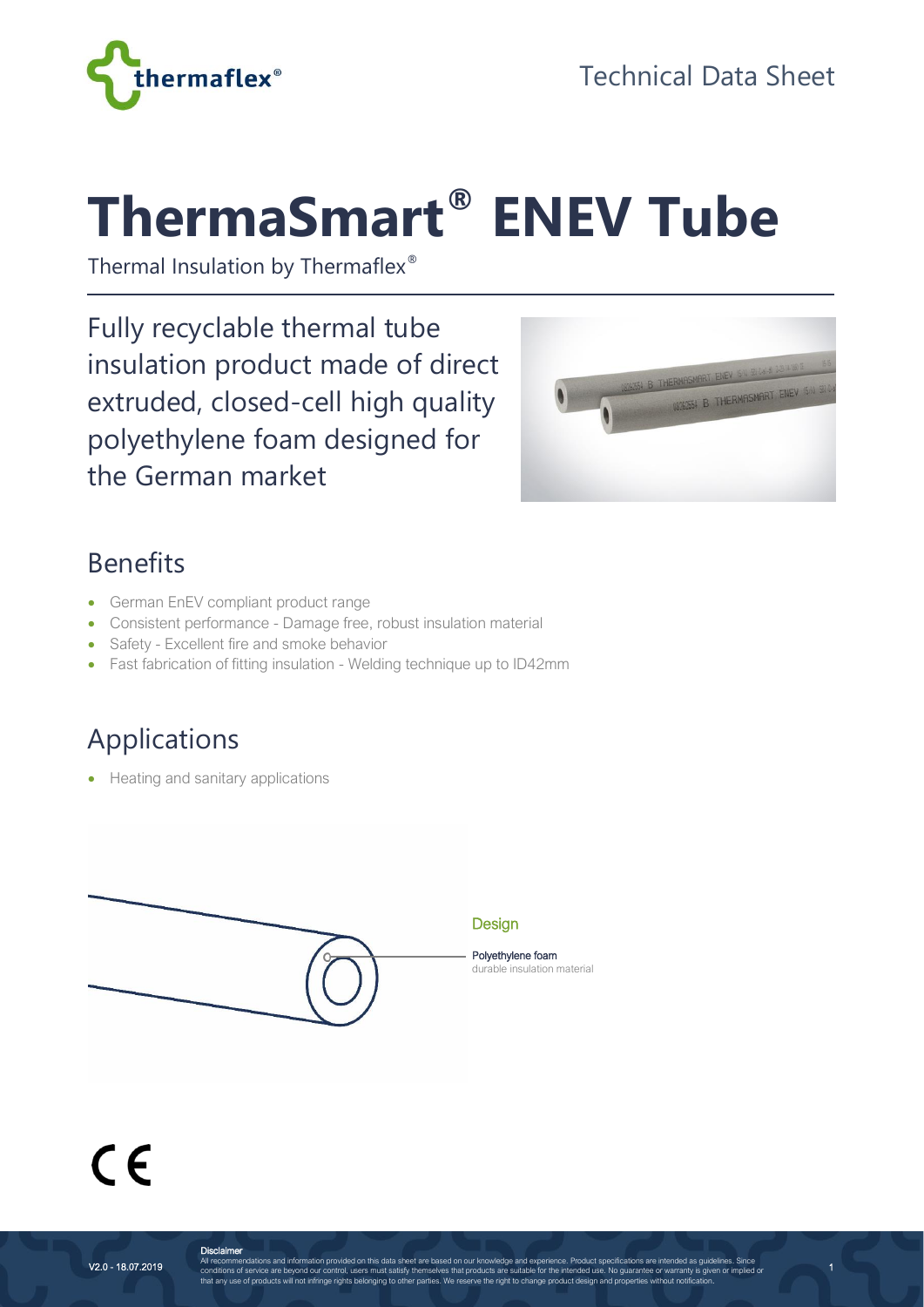

# **ThermaSmart® ENEV Tube**

Thermal Insulation by Thermaflex®

Fully recyclable thermal tube insulation product made of direct extruded, closed-cell high quality polyethylene foam designed for the German market



1

#### Benefits

- German EnEV compliant product range
- Consistent performance Damage free, robust insulation material
- Safety Excellent fire and smoke behavior
- Fast fabrication of fitting insulation Welding technique up to ID42mm

### Applications

• Heating and sanitary applications



## $\epsilon$

**Disclaimer**